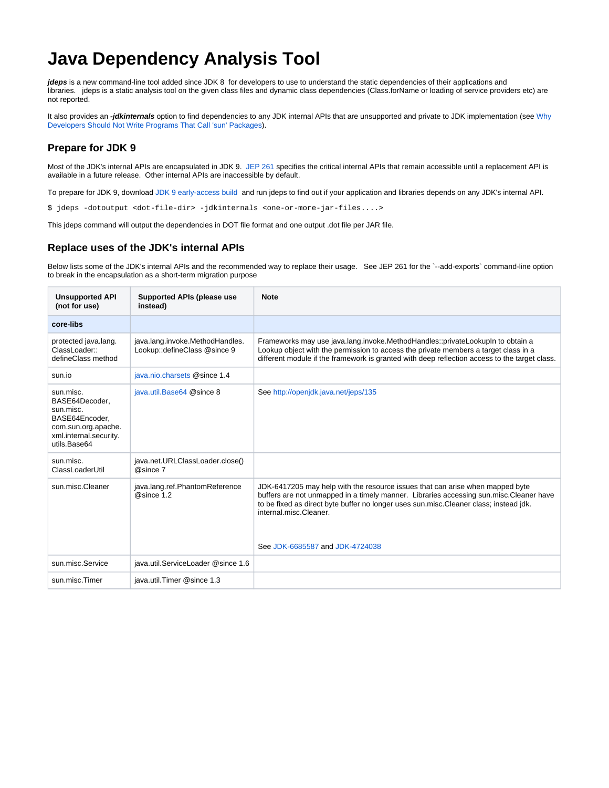## **Java Dependency Analysis Tool**

**jdeps** is a new command-line tool added since JDK 8 for developers to use to understand the static dependencies of their applications and libraries. jdeps is a static analysis tool on the given class files and dynamic class dependencies (Class.forName or loading of service providers etc) are not reported.

It also provides an **-jdkinternals** option to find dependencies to any JDK internal APIs that are unsupported and private to JDK implementation (see [Why](http://www.oracle.com/technetwork/java/faq-sun-packages-142232.html)  [Developers Should Not Write Programs That Call 'sun' Packages](http://www.oracle.com/technetwork/java/faq-sun-packages-142232.html)).

## **Prepare for JDK 9**

Most of the JDK's internal APIs are encapsulated in JDK 9. [JEP 261](http://openjdk.java.net/jeps/260) specifies the critical internal APIs that remain accessible until a replacement API is available in a future release. Other internal APIs are inaccessible by default.

To prepare for JDK 9, download [JDK 9 early-access build](https://jdk9.java.net/download/) and run jdeps to find out if your application and libraries depends on any JDK's internal API.

\$ jdeps -dotoutput <dot-file-dir> -jdkinternals <one-or-more-jar-files....>

This jdeps command will output the dependencies in DOT file format and one output .dot file per JAR file.

## **Replace uses of the JDK's internal APIs**

Below lists some of the JDK's internal APIs and the recommended way to replace their usage. See JEP 261 for the `--add-exports` command-line option to break in the encapsulation as a short-term migration purpose

| <b>Unsupported API</b><br>(not for use)                                                                                     | <b>Supported APIs (please use</b><br>instead)                   | <b>Note</b>                                                                                                                                                                                                                                                                                                                    |
|-----------------------------------------------------------------------------------------------------------------------------|-----------------------------------------------------------------|--------------------------------------------------------------------------------------------------------------------------------------------------------------------------------------------------------------------------------------------------------------------------------------------------------------------------------|
| core-libs                                                                                                                   |                                                                 |                                                                                                                                                                                                                                                                                                                                |
| protected java.lang.<br>ClassLoader::<br>defineClass method                                                                 | java.lang.invoke.MethodHandles.<br>Lookup::defineClass @since 9 | Frameworks may use java.lang.invoke.MethodHandles::privateLookupIn to obtain a<br>Lookup object with the permission to access the private members a target class in a<br>different module if the framework is granted with deep reflection access to the target class.                                                         |
| sun.io                                                                                                                      | java.nio.charsets @since 1.4                                    |                                                                                                                                                                                                                                                                                                                                |
| sun.misc.<br>BASE64Decoder,<br>sun.misc.<br>BASE64Encoder.<br>com.sun.org.apache.<br>xml.internal.security.<br>utils.Base64 | java.util.Base64 @since 8                                       | See http://openjdk.java.net/jeps/135                                                                                                                                                                                                                                                                                           |
| sun.misc.<br>ClassLoaderUtil                                                                                                | java.net.URLClassLoader.close()<br>@since 7                     |                                                                                                                                                                                                                                                                                                                                |
| sun.misc.Cleaner                                                                                                            | java.lang.ref.PhantomReference<br>@since 1.2                    | JDK-6417205 may help with the resource issues that can arise when mapped byte<br>buffers are not unmapped in a timely manner. Libraries accessing sun.misc.Cleaner have<br>to be fixed as direct byte buffer no longer uses sun.misc. Cleaner class; instead jdk.<br>internal.misc.Cleaner.<br>See JDK-6685587 and JDK-4724038 |
| sun.misc.Service                                                                                                            | java.util.ServiceLoader @since 1.6                              |                                                                                                                                                                                                                                                                                                                                |
| sun.misc.Timer                                                                                                              | java.util.Timer @since 1.3                                      |                                                                                                                                                                                                                                                                                                                                |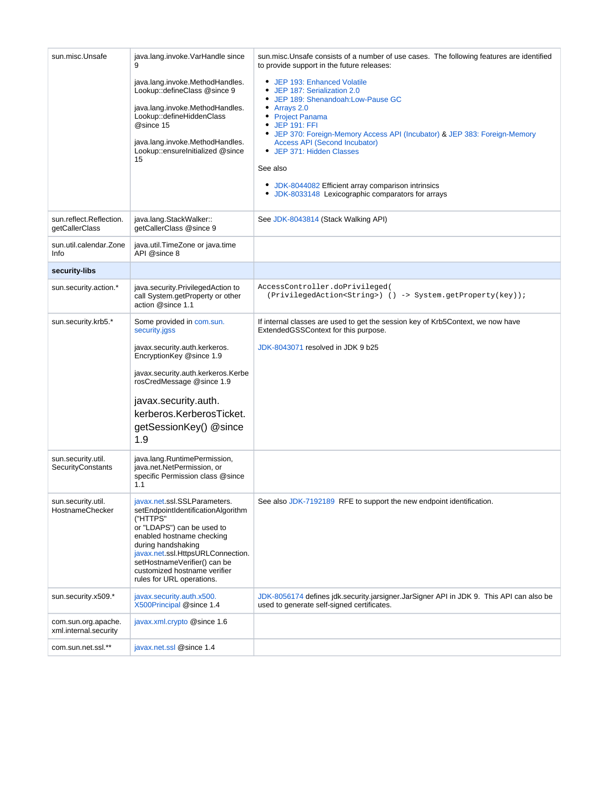| sun.misc.Unsafe                              | java.lang.invoke.VarHandle since<br>9                                                                                                                                                                                                                                                             | sun.misc.Unsafe consists of a number of use cases. The following features are identified<br>to provide support in the future releases:                                                                                                                                                                                                                                                                                                   |
|----------------------------------------------|---------------------------------------------------------------------------------------------------------------------------------------------------------------------------------------------------------------------------------------------------------------------------------------------------|------------------------------------------------------------------------------------------------------------------------------------------------------------------------------------------------------------------------------------------------------------------------------------------------------------------------------------------------------------------------------------------------------------------------------------------|
|                                              | java.lang.invoke.MethodHandles.<br>Lookup::defineClass @since 9<br>java.lang.invoke.MethodHandles.<br>Lookup::defineHiddenClass<br>@since 15<br>java.lang.invoke.MethodHandles.<br>Lookup::ensureInitialized @since<br>15                                                                         | • JEP 193: Enhanced Volatile<br>JEP 187: Serialization 2.0<br>JEP 189: Shenandoah:Low-Pause GC<br>Arrays 2.0<br>٠<br>• Project Panama<br><b>JEP 191: FFI</b><br>• JEP 370: Foreign-Memory Access API (Incubator) & JEP 383: Foreign-Memory<br><b>Access API (Second Incubator)</b><br>• JEP 371: Hidden Classes<br>See also<br>• JDK-8044082 Efficient array comparison intrinsics<br>• JDK-8033148 Lexicographic comparators for arrays |
| sun.reflect.Reflection.<br>getCallerClass    | java.lang.StackWalker::<br>getCallerClass @since 9                                                                                                                                                                                                                                                | See JDK-8043814 (Stack Walking API)                                                                                                                                                                                                                                                                                                                                                                                                      |
| sun.util.calendar.Zone<br>Info               | java.util.TimeZone or java.time<br>API @since 8                                                                                                                                                                                                                                                   |                                                                                                                                                                                                                                                                                                                                                                                                                                          |
| security-libs                                |                                                                                                                                                                                                                                                                                                   |                                                                                                                                                                                                                                                                                                                                                                                                                                          |
| sun.security.action.*                        | java.security.PrivilegedAction to<br>call System getProperty or other<br>action @since 1.1                                                                                                                                                                                                        | AccessController.doPrivileged(<br>(PrivilegedAction <string>) () -&gt; System.getProperty(key));</string>                                                                                                                                                                                                                                                                                                                                |
| sun.security.krb5.*                          | Some provided in com.sun.<br>security.jgss                                                                                                                                                                                                                                                        | If internal classes are used to get the session key of Krb5Context, we now have<br>ExtendedGSSContext for this purpose.                                                                                                                                                                                                                                                                                                                  |
|                                              | javax.security.auth.kerkeros.<br>EncryptionKey @since 1.9<br>javax.security.auth.kerkeros.Kerbe<br>rosCredMessage @since 1.9<br>javax.security.auth.<br>kerberos.KerberosTicket.<br>getSessionKey() @since<br>1.9                                                                                 | JDK-8043071 resolved in JDK 9 b25                                                                                                                                                                                                                                                                                                                                                                                                        |
| sun.security.util.<br>SecurityConstants      | java.lang.RuntimePermission,<br>java.net.NetPermission, or<br>specific Permission class @since<br>1.1                                                                                                                                                                                             |                                                                                                                                                                                                                                                                                                                                                                                                                                          |
| sun.security.util.<br>HostnameChecker        | javax.net.ssl.SSLParameters.<br>setEndpointIdentificationAlgorithm<br>("HTTPS"<br>or "LDAPS") can be used to<br>enabled hostname checking<br>during handshaking<br>javax.net.ssl.HttpsURLConnection.<br>setHostnameVerifier() can be<br>customized hostname verifier<br>rules for URL operations. | See also JDK-7192189 RFE to support the new endpoint identification.                                                                                                                                                                                                                                                                                                                                                                     |
| sun.security.x509.*                          | javax.security.auth.x500.<br>X500Principal @since 1.4                                                                                                                                                                                                                                             | JDK-8056174 defines jdk.security.jarsigner.JarSigner API in JDK 9. This API can also be<br>used to generate self-signed certificates.                                                                                                                                                                                                                                                                                                    |
| com.sun.org.apache.<br>xml.internal.security | javax.xml.crypto @since 1.6                                                                                                                                                                                                                                                                       |                                                                                                                                                                                                                                                                                                                                                                                                                                          |
| com.sun.net.ssl.**                           | javax.net.ssl @since 1.4                                                                                                                                                                                                                                                                          |                                                                                                                                                                                                                                                                                                                                                                                                                                          |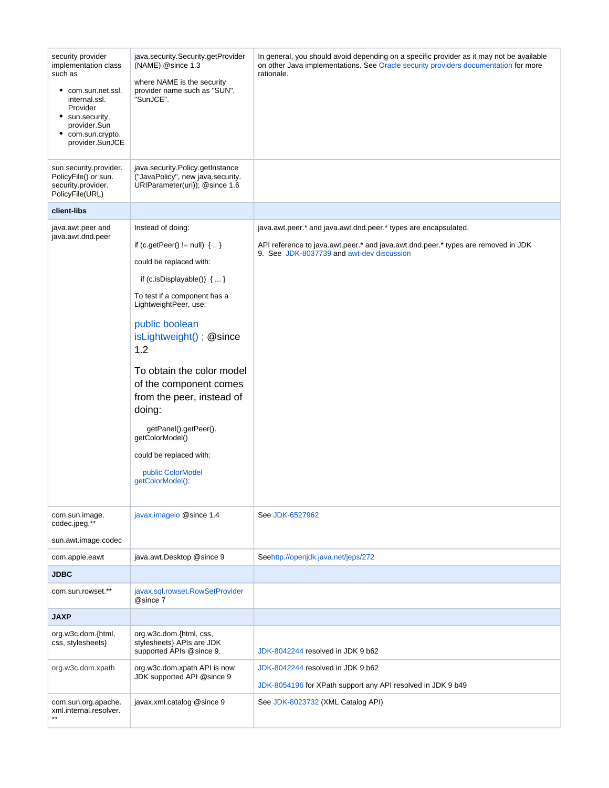| security provider<br>implementation class<br>such as<br>٠<br>com.sun.net.ssl.<br>internal.ssl.<br>Provider<br>• sun.security.<br>provider.Sun<br>com.sun.crypto.<br>provider.SunJCE | java.security.Security.getProvider<br>(NAME) @since 1.3<br>where NAME is the security<br>provider name such as "SUN",<br>"SunJCE".                                                                                                                                                                                                                                                                                                                    | In general, you should avoid depending on a specific provider as it may not be available<br>on other Java implementations. See Oracle security providers documentation for more<br>rationale.     |
|-------------------------------------------------------------------------------------------------------------------------------------------------------------------------------------|-------------------------------------------------------------------------------------------------------------------------------------------------------------------------------------------------------------------------------------------------------------------------------------------------------------------------------------------------------------------------------------------------------------------------------------------------------|---------------------------------------------------------------------------------------------------------------------------------------------------------------------------------------------------|
| sun.security.provider.<br>PolicyFile() or sun.<br>security.provider.<br>PolicyFile(URL)                                                                                             | java.security.Policy.getInstance<br>("JavaPolicy", new java.security.<br>URIParameter(uri)); @since 1.6                                                                                                                                                                                                                                                                                                                                               |                                                                                                                                                                                                   |
| client-libs                                                                                                                                                                         |                                                                                                                                                                                                                                                                                                                                                                                                                                                       |                                                                                                                                                                                                   |
| java.awt.peer and<br>java.awt.dnd.peer                                                                                                                                              | Instead of doing:<br>if (c.getPeer() $!=$ null) $\{ \}$<br>could be replaced with:<br>if (c.isDisplayable()) $\{ \dots \}$<br>To test if a component has a<br>LightweightPeer, use:<br>public boolean<br>isLightweight(); @since<br>1.2<br>To obtain the color model<br>of the component comes<br>from the peer, instead of<br>doing:<br>getPanel().getPeer().<br>getColorModel()<br>could be replaced with:<br>public ColorModel<br>getColorModel(); | java.awt.peer.* and java.awt.dnd.peer.* types are encapsulated.<br>API reference to java.awt.peer.* and java.awt.dnd.peer.* types are removed in JDK<br>9. See JDK-8037739 and awt-dev discussion |
| com.sun.image.<br>codec.jpeg.**<br>sun.awt.image.codec                                                                                                                              | javax.imageio @since 1.4                                                                                                                                                                                                                                                                                                                                                                                                                              | See JDK-6527962                                                                                                                                                                                   |
| com.apple.eawt                                                                                                                                                                      | java.awt.Desktop @since 9                                                                                                                                                                                                                                                                                                                                                                                                                             | Seehttp://openjdk.java.net/jeps/272                                                                                                                                                               |
| <b>JDBC</b>                                                                                                                                                                         |                                                                                                                                                                                                                                                                                                                                                                                                                                                       |                                                                                                                                                                                                   |
| com.sun.rowset.**                                                                                                                                                                   | javax.sql.rowset.RowSetProvider<br>@since 7                                                                                                                                                                                                                                                                                                                                                                                                           |                                                                                                                                                                                                   |
| <b>JAXP</b>                                                                                                                                                                         |                                                                                                                                                                                                                                                                                                                                                                                                                                                       |                                                                                                                                                                                                   |
| org.w3c.dom.{html,<br>css, stylesheets}                                                                                                                                             | org.w3c.dom.{html, css,<br>stylesheets} APIs are JDK<br>supported APIs @since 9.                                                                                                                                                                                                                                                                                                                                                                      | JDK-8042244 resolved in JDK 9 b62                                                                                                                                                                 |
| org.w3c.dom.xpath                                                                                                                                                                   | org.w3c.dom.xpath API is now<br>JDK supported API @since 9                                                                                                                                                                                                                                                                                                                                                                                            | JDK-8042244 resolved in JDK 9 b62<br>JDK-8054196 for XPath support any API resolved in JDK 9 b49                                                                                                  |
| com.sun.org.apache.<br>xml.internal.resolver.                                                                                                                                       | javax.xml.catalog @since 9                                                                                                                                                                                                                                                                                                                                                                                                                            | See JDK-8023732 (XML Catalog API)                                                                                                                                                                 |